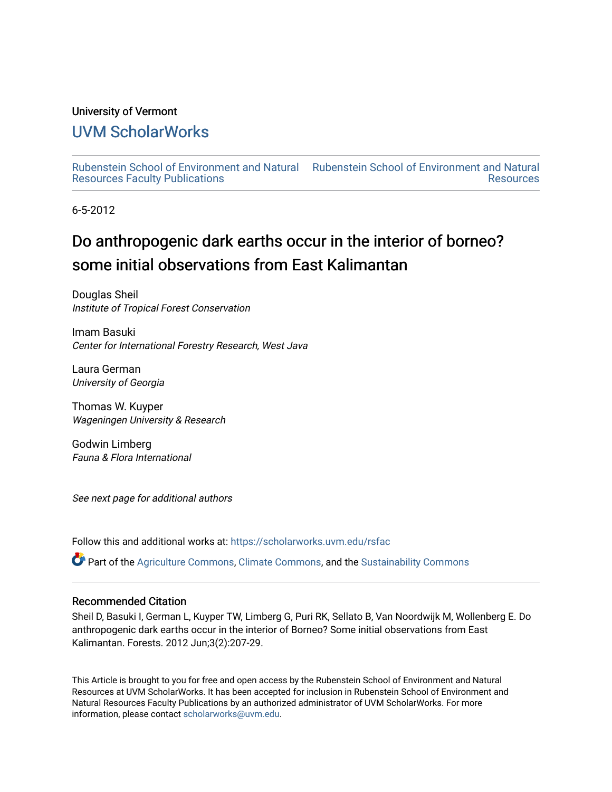#### University of Vermont

# [UVM ScholarWorks](https://scholarworks.uvm.edu/)

[Rubenstein School of Environment and Natural](https://scholarworks.uvm.edu/rsfac) [Rubenstein School of Environment and Natural](https://scholarworks.uvm.edu/rs)  [Resources Faculty Publications](https://scholarworks.uvm.edu/rsfac)  **Resources** 

6-5-2012

# Do anthropogenic dark earths occur in the interior of borneo? some initial observations from East Kalimantan

Douglas Sheil Institute of Tropical Forest Conservation

Imam Basuki Center for International Forestry Research, West Java

Laura German University of Georgia

Thomas W. Kuyper Wageningen University & Research

Godwin Limberg Fauna & Flora International

See next page for additional authors

Follow this and additional works at: [https://scholarworks.uvm.edu/rsfac](https://scholarworks.uvm.edu/rsfac?utm_source=scholarworks.uvm.edu%2Frsfac%2F68&utm_medium=PDF&utm_campaign=PDFCoverPages) 

Part of the [Agriculture Commons](http://network.bepress.com/hgg/discipline/1076?utm_source=scholarworks.uvm.edu%2Frsfac%2F68&utm_medium=PDF&utm_campaign=PDFCoverPages), [Climate Commons](http://network.bepress.com/hgg/discipline/188?utm_source=scholarworks.uvm.edu%2Frsfac%2F68&utm_medium=PDF&utm_campaign=PDFCoverPages), and the [Sustainability Commons](http://network.bepress.com/hgg/discipline/1031?utm_source=scholarworks.uvm.edu%2Frsfac%2F68&utm_medium=PDF&utm_campaign=PDFCoverPages) 

# Recommended Citation

Sheil D, Basuki I, German L, Kuyper TW, Limberg G, Puri RK, Sellato B, Van Noordwijk M, Wollenberg E. Do anthropogenic dark earths occur in the interior of Borneo? Some initial observations from East Kalimantan. Forests. 2012 Jun;3(2):207-29.

This Article is brought to you for free and open access by the Rubenstein School of Environment and Natural Resources at UVM ScholarWorks. It has been accepted for inclusion in Rubenstein School of Environment and Natural Resources Faculty Publications by an authorized administrator of UVM ScholarWorks. For more information, please contact [scholarworks@uvm.edu.](mailto:scholarworks@uvm.edu)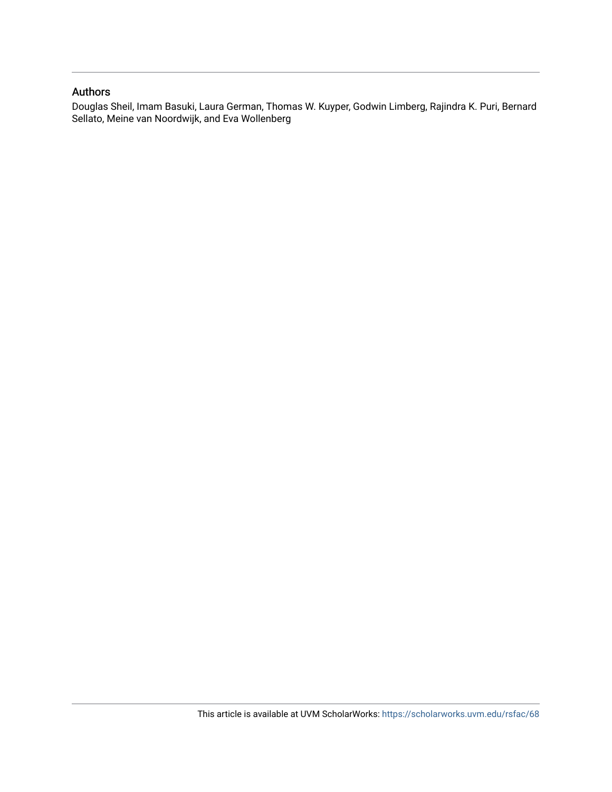#### Authors

Douglas Sheil, Imam Basuki, Laura German, Thomas W. Kuyper, Godwin Limberg, Rajindra K. Puri, Bernard Sellato, Meine van Noordwijk, and Eva Wollenberg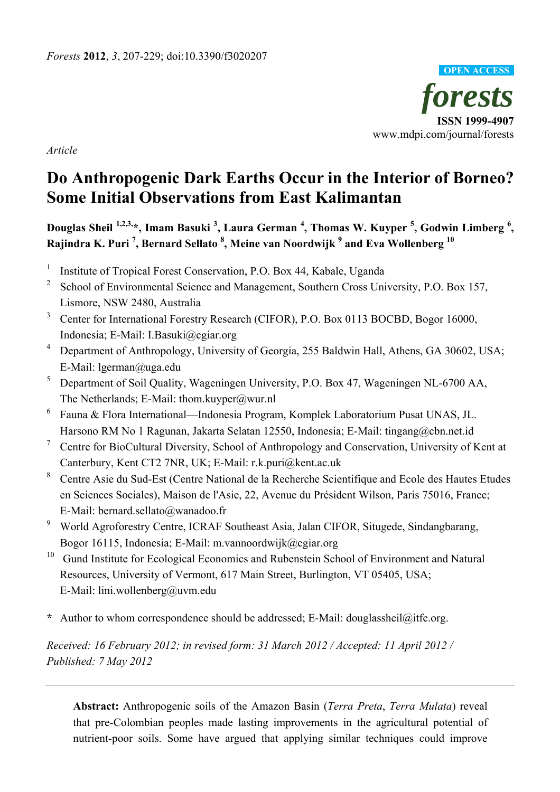

*Article* 

# **Do Anthropogenic Dark Earths Occur in the Interior of Borneo? Some Initial Observations from East Kalimantan**

**Douglas Sheil 1,2,3,\*, Imam Basuki 3 , Laura German <sup>4</sup> , Thomas W. Kuyper <sup>5</sup> , Godwin Limberg <sup>6</sup> , Rajindra K. Puri 7 , Bernard Sellato 8 , Meine van Noordwijk 9 and Eva Wollenberg 10** 

- 1 Institute of Tropical Forest Conservation, P.O. Box 44, Kabale, Uganda
- 2 School of Environmental Science and Management, Southern Cross University, P.O. Box 157, Lismore, NSW 2480, Australia
- 3 Center for International Forestry Research (CIFOR), P.O. Box 0113 BOCBD, Bogor 16000, Indonesia; E-Mail: I.Basuki@cgiar.org
- <sup>4</sup> Department of Anthropology, University of Georgia, 255 Baldwin Hall, Athens, GA 30602, USA; E-Mail: lgerman@uga.edu
- <sup>5</sup> Department of Soil Quality, Wageningen University, P.O. Box 47, Wageningen NL-6700 AA, The Netherlands; E-Mail: thom.kuyper@wur.nl
- 6 Fauna & Flora International—Indonesia Program, Komplek Laboratorium Pusat UNAS, JL. Harsono RM No 1 Ragunan, Jakarta Selatan 12550, Indonesia; E-Mail: tingang@cbn.net.id
- 7 Centre for BioCultural Diversity, School of Anthropology and Conservation, University of Kent at Canterbury, Kent CT2 7NR, UK; E-Mail: r.k.puri@kent.ac.uk
- 8 Centre Asie du Sud-Est (Centre National de la Recherche Scientifique and Ecole des Hautes Etudes en Sciences Sociales), Maison de l'Asie, 22, Avenue du Président Wilson, Paris 75016, France; E-Mail: bernard.sellato@wanadoo.fr
- 9 World Agroforestry Centre, ICRAF Southeast Asia, Jalan CIFOR, Situgede, Sindangbarang, Bogor 16115, Indonesia; E-Mail: m.vannoordwijk@cgiar.org
- <sup>10</sup> Gund Institute for Ecological Economics and Rubenstein School of Environment and Natural Resources, University of Vermont, 617 Main Street, Burlington, VT 05405, USA; E-Mail: lini.wollenberg@uvm.edu
- **\*** Author to whom correspondence should be addressed; E-Mail: douglassheil@itfc.org.

*Received: 16 February 2012; in revised form: 31 March 2012 / Accepted: 11 April 2012 / Published: 7 May 2012* 

**Abstract:** Anthropogenic soils of the Amazon Basin (*Terra Preta*, *Terra Mulata*) reveal that pre-Colombian peoples made lasting improvements in the agricultural potential of nutrient-poor soils. Some have argued that applying similar techniques could improve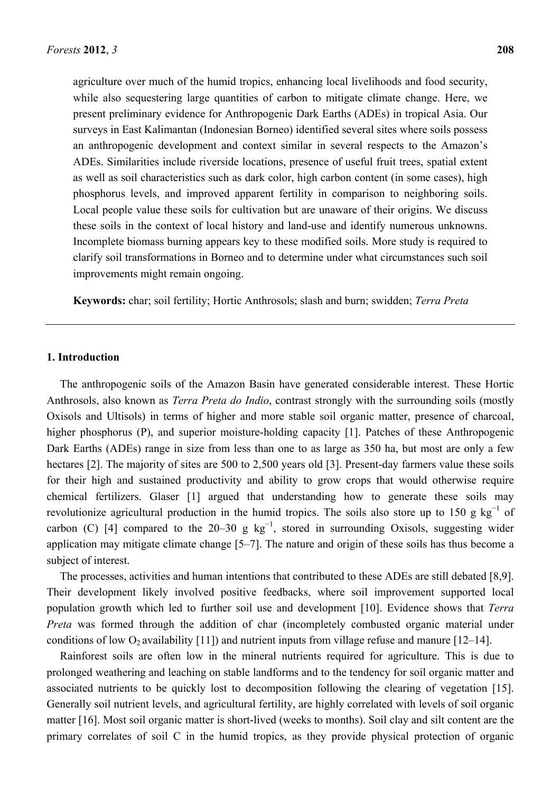agriculture over much of the humid tropics, enhancing local livelihoods and food security, while also sequestering large quantities of carbon to mitigate climate change. Here, we present preliminary evidence for Anthropogenic Dark Earths (ADEs) in tropical Asia. Our surveys in East Kalimantan (Indonesian Borneo) identified several sites where soils possess an anthropogenic development and context similar in several respects to the Amazon's ADEs. Similarities include riverside locations, presence of useful fruit trees, spatial extent as well as soil characteristics such as dark color, high carbon content (in some cases), high phosphorus levels, and improved apparent fertility in comparison to neighboring soils. Local people value these soils for cultivation but are unaware of their origins. We discuss these soils in the context of local history and land-use and identify numerous unknowns. Incomplete biomass burning appears key to these modified soils. More study is required to clarify soil transformations in Borneo and to determine under what circumstances such soil improvements might remain ongoing.

**Keywords:** char; soil fertility; Hortic Anthrosols; slash and burn; swidden; *Terra Preta*

# **1. Introduction**

The anthropogenic soils of the Amazon Basin have generated considerable interest. These Hortic Anthrosols, also known as *Terra Preta do Indio*, contrast strongly with the surrounding soils (mostly Oxisols and Ultisols) in terms of higher and more stable soil organic matter, presence of charcoal, higher phosphorus (P), and superior moisture-holding capacity [1]. Patches of these Anthropogenic Dark Earths (ADEs) range in size from less than one to as large as 350 ha, but most are only a few hectares [2]. The majority of sites are 500 to 2,500 years old [3]. Present-day farmers value these soils for their high and sustained productivity and ability to grow crops that would otherwise require chemical fertilizers. Glaser [1] argued that understanding how to generate these soils may revolutionize agricultural production in the humid tropics. The soils also store up to 150 g  $kg^{-1}$  of carbon (C) [4] compared to the 20–30 g  $kg^{-1}$ , stored in surrounding Oxisols, suggesting wider application may mitigate climate change [5–7]. The nature and origin of these soils has thus become a subject of interest.

The processes, activities and human intentions that contributed to these ADEs are still debated [8,9]. Their development likely involved positive feedbacks, where soil improvement supported local population growth which led to further soil use and development [10]. Evidence shows that *Terra Preta* was formed through the addition of char (incompletely combusted organic material under conditions of low  $O_2$  availability [11]) and nutrient inputs from village refuse and manure [12–14].

Rainforest soils are often low in the mineral nutrients required for agriculture. This is due to prolonged weathering and leaching on stable landforms and to the tendency for soil organic matter and associated nutrients to be quickly lost to decomposition following the clearing of vegetation [15]. Generally soil nutrient levels, and agricultural fertility, are highly correlated with levels of soil organic matter [16]. Most soil organic matter is short-lived (weeks to months). Soil clay and silt content are the primary correlates of soil C in the humid tropics, as they provide physical protection of organic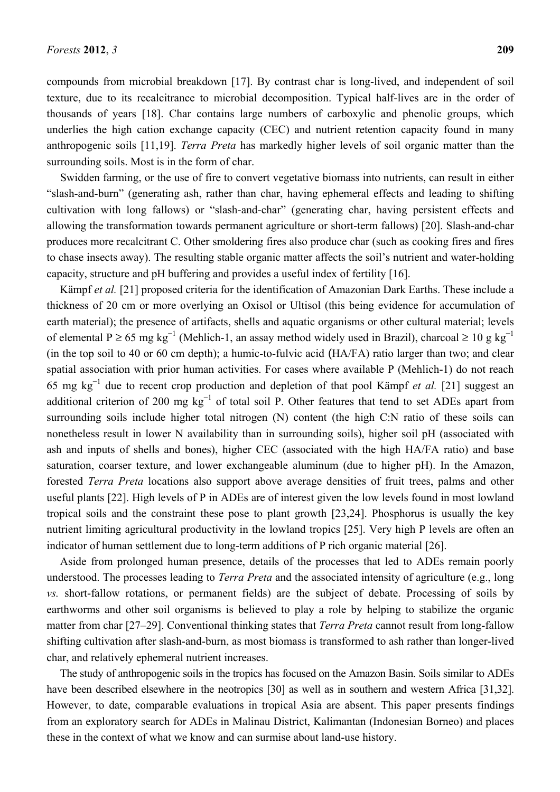compounds from microbial breakdown [17]. By contrast char is long-lived, and independent of soil texture, due to its recalcitrance to microbial decomposition. Typical half-lives are in the order of thousands of years [18]. Char contains large numbers of carboxylic and phenolic groups, which underlies the high cation exchange capacity (CEC) and nutrient retention capacity found in many anthropogenic soils [11,19]. *Terra Preta* has markedly higher levels of soil organic matter than the surrounding soils. Most is in the form of char.

Swidden farming, or the use of fire to convert vegetative biomass into nutrients, can result in either "slash-and-burn" (generating ash, rather than char, having ephemeral effects and leading to shifting cultivation with long fallows) or "slash-and-char" (generating char, having persistent effects and allowing the transformation towards permanent agriculture or short-term fallows) [20]. Slash-and-char produces more recalcitrant C. Other smoldering fires also produce char (such as cooking fires and fires to chase insects away). The resulting stable organic matter affects the soil's nutrient and water-holding capacity, structure and pH buffering and provides a useful index of fertility [16].

Kämpf *et al.* [21] proposed criteria for the identification of Amazonian Dark Earths. These include a thickness of 20 cm or more overlying an Oxisol or Ultisol (this being evidence for accumulation of earth material); the presence of artifacts, shells and aquatic organisms or other cultural material; levels of elemental P ≥ 65 mg kg<sup>-1</sup> (Mehlich-1, an assay method widely used in Brazil), charcoal ≥ 10 g kg<sup>-1</sup> (in the top soil to 40 or 60 cm depth); a humic-to-fulvic acid (HA/FA) ratio larger than two; and clear spatial association with prior human activities. For cases where available P (Mehlich-1) do not reach 65 mg kg<sup>−</sup><sup>1</sup> due to recent crop production and depletion of that pool Kämpf *et al.* [21] suggest an additional criterion of 200 mg  $kg^{-1}$  of total soil P. Other features that tend to set ADEs apart from surrounding soils include higher total nitrogen (N) content (the high C:N ratio of these soils can nonetheless result in lower N availability than in surrounding soils), higher soil pH (associated with ash and inputs of shells and bones), higher CEC (associated with the high HA/FA ratio) and base saturation, coarser texture, and lower exchangeable aluminum (due to higher pH). In the Amazon, forested *Terra Preta* locations also support above average densities of fruit trees, palms and other useful plants [22]. High levels of P in ADEs are of interest given the low levels found in most lowland tropical soils and the constraint these pose to plant growth [23,24]. Phosphorus is usually the key nutrient limiting agricultural productivity in the lowland tropics [25]. Very high P levels are often an indicator of human settlement due to long-term additions of P rich organic material [26].

Aside from prolonged human presence, details of the processes that led to ADEs remain poorly understood. The processes leading to *Terra Preta* and the associated intensity of agriculture (e.g., long *vs.* short-fallow rotations, or permanent fields) are the subject of debate. Processing of soils by earthworms and other soil organisms is believed to play a role by helping to stabilize the organic matter from char [27–29]. Conventional thinking states that *Terra Preta* cannot result from long-fallow shifting cultivation after slash-and-burn, as most biomass is transformed to ash rather than longer-lived char, and relatively ephemeral nutrient increases.

The study of anthropogenic soils in the tropics has focused on the Amazon Basin. Soils similar to ADEs have been described elsewhere in the neotropics [30] as well as in southern and western Africa [31,32]. However, to date, comparable evaluations in tropical Asia are absent. This paper presents findings from an exploratory search for ADEs in Malinau District, Kalimantan (Indonesian Borneo) and places these in the context of what we know and can surmise about land-use history.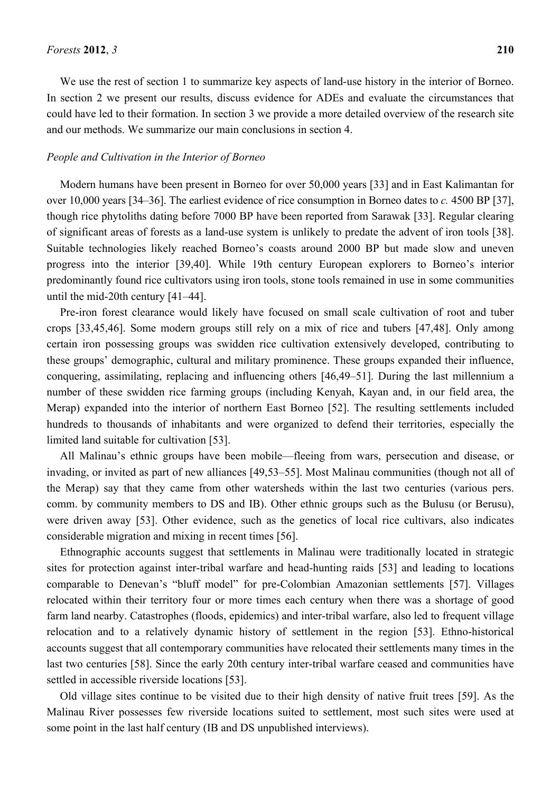We use the rest of section 1 to summarize key aspects of land-use history in the interior of Borneo. In section 2 we present our results, discuss evidence for ADEs and evaluate the circumstances that could have led to their formation. In section 3 we provide a more detailed overview of the research site and our methods. We summarize our main conclusions in section 4.

#### *People and Cultivation in the Interior of Borneo*

Modern humans have been present in Borneo for over 50,000 years [33] and in East Kalimantan for over 10,000 years [34–36]. The earliest evidence of rice consumption in Borneo dates to *c.* 4500 BP [37], though rice phytoliths dating before 7000 BP have been reported from Sarawak [33]. Regular clearing of significant areas of forests as a land-use system is unlikely to predate the advent of iron tools [38]. Suitable technologies likely reached Borneo's coasts around 2000 BP but made slow and uneven progress into the interior [39,40]. While 19th century European explorers to Borneo's interior predominantly found rice cultivators using iron tools, stone tools remained in use in some communities until the mid-20th century [41–44].

Pre-iron forest clearance would likely have focused on small scale cultivation of root and tuber crops [33,45,46]. Some modern groups still rely on a mix of rice and tubers [47,48]. Only among certain iron possessing groups was swidden rice cultivation extensively developed, contributing to these groups' demographic, cultural and military prominence. These groups expanded their influence, conquering, assimilating, replacing and influencing others [46,49–51]. During the last millennium a number of these swidden rice farming groups (including Kenyah, Kayan and, in our field area, the Merap) expanded into the interior of northern East Borneo [52]. The resulting settlements included hundreds to thousands of inhabitants and were organized to defend their territories, especially the limited land suitable for cultivation [53].

All Malinau's ethnic groups have been mobile—fleeing from wars, persecution and disease, or invading, or invited as part of new alliances [49,53–55]. Most Malinau communities (though not all of the Merap) say that they came from other watersheds within the last two centuries (various pers. comm. by community members to DS and IB). Other ethnic groups such as the Bulusu (or Berusu), were driven away [53]. Other evidence, such as the genetics of local rice cultivars, also indicates considerable migration and mixing in recent times [56].

Ethnographic accounts suggest that settlements in Malinau were traditionally located in strategic sites for protection against inter-tribal warfare and head-hunting raids [53] and leading to locations comparable to Denevan's "bluff model" for pre-Colombian Amazonian settlements [57]. Villages relocated within their territory four or more times each century when there was a shortage of good farm land nearby. Catastrophes (floods, epidemics) and inter-tribal warfare, also led to frequent village relocation and to a relatively dynamic history of settlement in the region [53]. Ethno-historical accounts suggest that all contemporary communities have relocated their settlements many times in the last two centuries [58]. Since the early 20th century inter-tribal warfare ceased and communities have settled in accessible riverside locations [53].

Old village sites continue to be visited due to their high density of native fruit trees [59]. As the Malinau River possesses few riverside locations suited to settlement, most such sites were used at some point in the last half century (IB and DS unpublished interviews).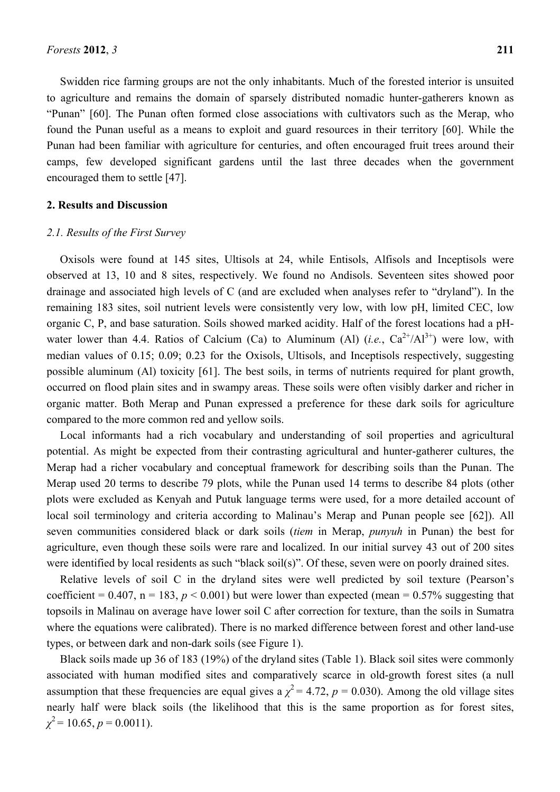Swidden rice farming groups are not the only inhabitants. Much of the forested interior is unsuited to agriculture and remains the domain of sparsely distributed nomadic hunter-gatherers known as "Punan" [60]. The Punan often formed close associations with cultivators such as the Merap, who found the Punan useful as a means to exploit and guard resources in their territory [60]. While the Punan had been familiar with agriculture for centuries, and often encouraged fruit trees around their camps, few developed significant gardens until the last three decades when the government encouraged them to settle [47].

#### **2. Results and Discussion**

#### *2.1. Results of the First Survey*

Oxisols were found at 145 sites, Ultisols at 24, while Entisols, Alfisols and Inceptisols were observed at 13, 10 and 8 sites, respectively. We found no Andisols. Seventeen sites showed poor drainage and associated high levels of C (and are excluded when analyses refer to "dryland"). In the remaining 183 sites, soil nutrient levels were consistently very low, with low pH, limited CEC, low organic C, P, and base saturation. Soils showed marked acidity. Half of the forest locations had a pHwater lower than 4.4. Ratios of Calcium (Ca) to Aluminum (Al)  $(i.e., Ca^{2+}/Al^{3+})$  were low, with median values of 0.15; 0.09; 0.23 for the Oxisols, Ultisols, and Inceptisols respectively, suggesting possible aluminum (Al) toxicity [61]. The best soils, in terms of nutrients required for plant growth, occurred on flood plain sites and in swampy areas. These soils were often visibly darker and richer in organic matter. Both Merap and Punan expressed a preference for these dark soils for agriculture compared to the more common red and yellow soils.

Local informants had a rich vocabulary and understanding of soil properties and agricultural potential. As might be expected from their contrasting agricultural and hunter-gatherer cultures, the Merap had a richer vocabulary and conceptual framework for describing soils than the Punan. The Merap used 20 terms to describe 79 plots, while the Punan used 14 terms to describe 84 plots (other plots were excluded as Kenyah and Putuk language terms were used, for a more detailed account of local soil terminology and criteria according to Malinau's Merap and Punan people see [62]). All seven communities considered black or dark soils (*tiem* in Merap, *punyuh* in Punan) the best for agriculture, even though these soils were rare and localized. In our initial survey 43 out of 200 sites were identified by local residents as such "black soil(s)". Of these, seven were on poorly drained sites.

Relative levels of soil C in the dryland sites were well predicted by soil texture (Pearson's coefficient =  $0.407$ , n = 183, p < 0.001) but were lower than expected (mean =  $0.57\%$  suggesting that topsoils in Malinau on average have lower soil C after correction for texture, than the soils in Sumatra where the equations were calibrated). There is no marked difference between forest and other land-use types, or between dark and non-dark soils (see Figure 1).

Black soils made up 36 of 183 (19%) of the dryland sites (Table 1). Black soil sites were commonly associated with human modified sites and comparatively scarce in old-growth forest sites (a null assumption that these frequencies are equal gives a  $\chi^2$  = 4.72, *p* = 0.030). Among the old village sites nearly half were black soils (the likelihood that this is the same proportion as for forest sites,  $\chi^2$  = 10.65, *p* = 0.0011).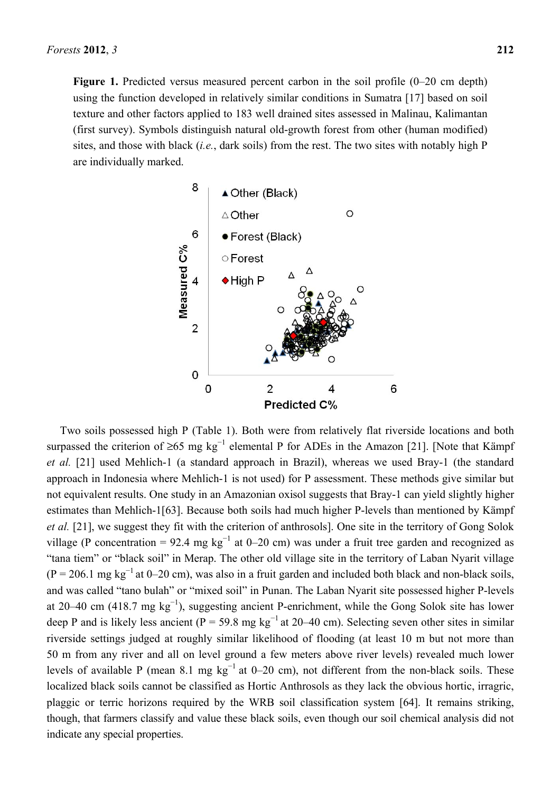Figure 1. Predicted versus measured percent carbon in the soil profile  $(0-20 \text{ cm depth})$ using the function developed in relatively similar conditions in Sumatra [17] based on soil texture and other factors applied to 183 well drained sites assessed in Malinau, Kalimantan (first survey). Symbols distinguish natural old-growth forest from other (human modified) sites, and those with black (*i.e.*, dark soils) from the rest. The two sites with notably high P are individually marked.



Two soils possessed high P (Table 1). Both were from relatively flat riverside locations and both surpassed the criterion of ≥65 mg  $kg^{-1}$  elemental P for ADEs in the Amazon [21]. [Note that Kämpf *et al.* [21] used Mehlich-1 (a standard approach in Brazil), whereas we used Bray-1 (the standard approach in Indonesia where Mehlich-1 is not used) for P assessment. These methods give similar but not equivalent results. One study in an Amazonian oxisol suggests that Bray-1 can yield slightly higher estimates than Mehlich-1[63]. Because both soils had much higher P-levels than mentioned by Kämpf *et al.* [21], we suggest they fit with the criterion of anthrosols]. One site in the territory of Gong Solok village (P concentration = 92.4 mg kg<sup>-1</sup> at 0–20 cm) was under a fruit tree garden and recognized as "tana tiem" or "black soil" in Merap. The other old village site in the territory of Laban Nyarit village  $(P = 206.1 \text{ mg kg}^{-1}$  at 0–20 cm), was also in a fruit garden and included both black and non-black soils, and was called "tano bulah" or "mixed soil" in Punan. The Laban Nyarit site possessed higher P-levels at 20–40 cm (418.7 mg  $kg^{-1}$ ), suggesting ancient P-enrichment, while the Gong Solok site has lower deep P and is likely less ancient (P = 59.8 mg kg<sup>-1</sup> at 20–40 cm). Selecting seven other sites in similar riverside settings judged at roughly similar likelihood of flooding (at least 10 m but not more than 50 m from any river and all on level ground a few meters above river levels) revealed much lower levels of available P (mean 8.1 mg kg<sup>-1</sup> at 0–20 cm), not different from the non-black soils. These localized black soils cannot be classified as Hortic Anthrosols as they lack the obvious hortic, irragric, plaggic or terric horizons required by the WRB soil classification system [64]. It remains striking, though, that farmers classify and value these black soils, even though our soil chemical analysis did not indicate any special properties.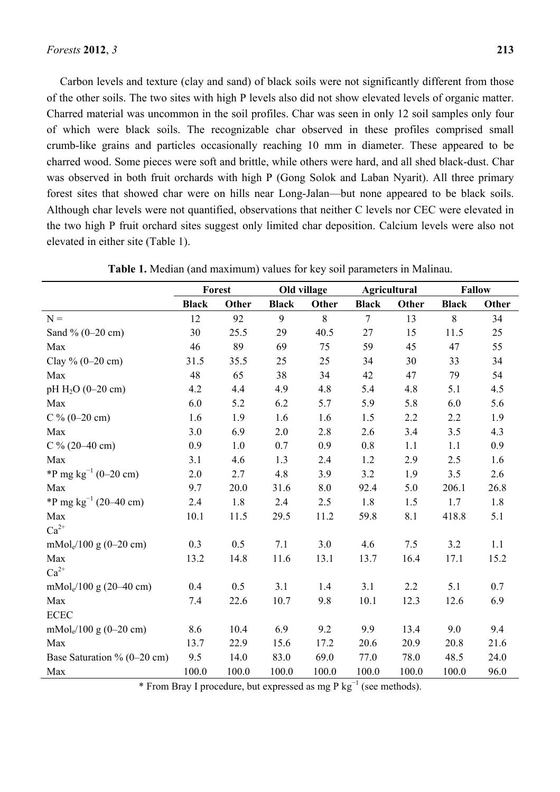Carbon levels and texture (clay and sand) of black soils were not significantly different from those of the other soils. The two sites with high P levels also did not show elevated levels of organic matter. Charred material was uncommon in the soil profiles. Char was seen in only 12 soil samples only four of which were black soils. The recognizable char observed in these profiles comprised small crumb-like grains and particles occasionally reaching 10 mm in diameter. These appeared to be charred wood. Some pieces were soft and brittle, while others were hard, and all shed black-dust. Char was observed in both fruit orchards with high P (Gong Solok and Laban Nyarit). All three primary forest sites that showed char were on hills near Long-Jalan—but none appeared to be black soils. Although char levels were not quantified, observations that neither C levels nor CEC were elevated in the two high P fruit orchard sites suggest only limited char deposition. Calcium levels were also not elevated in either site (Table 1).

|                                       | Forest       |       | Old village  |       | Agricultural   |       | <b>Fallow</b> |       |
|---------------------------------------|--------------|-------|--------------|-------|----------------|-------|---------------|-------|
|                                       | <b>Black</b> | Other | <b>Black</b> | Other | <b>Black</b>   | Other | <b>Black</b>  | Other |
| $N =$                                 | 12           | 92    | 9            | 8     | $\overline{7}$ | 13    | 8             | 34    |
| Sand $\%$ (0-20 cm)                   | 30           | 25.5  | 29           | 40.5  | 27             | 15    | 11.5          | 25    |
| Max                                   | 46           | 89    | 69           | 75    | 59             | 45    | 47            | 55    |
| Clay % (0-20 cm)                      | 31.5         | 35.5  | 25           | 25    | 34             | 30    | 33            | 34    |
| Max                                   | 48           | 65    | 38           | 34    | 42             | 47    | 79            | 54    |
| pH $H_2O$ (0-20 cm)                   | 4.2          | 4.4   | 4.9          | 4.8   | 5.4            | 4.8   | 5.1           | 4.5   |
| Max                                   | 6.0          | 5.2   | 6.2          | 5.7   | 5.9            | 5.8   | 6.0           | 5.6   |
| C % $(0-20 \text{ cm})$               | 1.6          | 1.9   | 1.6          | 1.6   | 1.5            | 2.2   | 2.2           | 1.9   |
| Max                                   | 3.0          | 6.9   | 2.0          | 2.8   | 2.6            | 3.4   | 3.5           | 4.3   |
| C % $(20-40 \text{ cm})$              | 0.9          | 1.0   | 0.7          | 0.9   | 0.8            | 1.1   | 1.1           | 0.9   |
| Max                                   | 3.1          | 4.6   | 1.3          | 2.4   | 1.2            | 2.9   | 2.5           | 1.6   |
| *P mg $kg^{-1}$ (0–20 cm)             | 2.0          | 2.7   | 4.8          | 3.9   | 3.2            | 1.9   | 3.5           | 2.6   |
| Max                                   | 9.7          | 20.0  | 31.6         | 8.0   | 92.4           | 5.0   | 206.1         | 26.8  |
| *P mg $\text{kg}^{-1}$ (20–40 cm)     | 2.4          | 1.8   | 2.4          | 2.5   | 1.8            | 1.5   | 1.7           | 1.8   |
| Max                                   | 10.1         | 11.5  | 29.5         | 11.2  | 59.8           | 8.1   | 418.8         | 5.1   |
| $Ca^{2+}$                             |              |       |              |       |                |       |               |       |
| $mMole/100 g (0-20 cm)$               | 0.3          | 0.5   | 7.1          | 3.0   | 4.6            | 7.5   | 3.2           | 1.1   |
| Max                                   | 13.2         | 14.8  | 11.6         | 13.1  | 13.7           | 16.4  | 17.1          | 15.2  |
| $Ca^{2+}$                             |              |       |              |       |                |       |               |       |
| mMol <sub>e</sub> /100 g (20–40 cm)   | 0.4          | 0.5   | 3.1          | 1.4   | 3.1            | 2.2   | 5.1           | 0.7   |
| Max                                   | 7.4          | 22.6  | 10.7         | 9.8   | 10.1           | 12.3  | 12.6          | 6.9   |
| <b>ECEC</b>                           |              |       |              |       |                |       |               |       |
| $mMol_e/100$ g (0-20 cm)              | 8.6          | 10.4  | 6.9          | 9.2   | 9.9            | 13.4  | 9.0           | 9.4   |
| Max                                   | 13.7         | 22.9  | 15.6         | 17.2  | 20.6           | 20.9  | 20.8          | 21.6  |
| Base Saturation % $(0-20 \text{ cm})$ | 9.5          | 14.0  | 83.0         | 69.0  | 77.0           | 78.0  | 48.5          | 24.0  |
| Max                                   | 100.0        | 100.0 | 100.0        | 100.0 | 100.0          | 100.0 | 100.0         | 96.0  |

**Table 1.** Median (and maximum) values for key soil parameters in Malinau.

\* From Bray I procedure, but expressed as mg P  $\text{kg}^{-1}$  (see methods).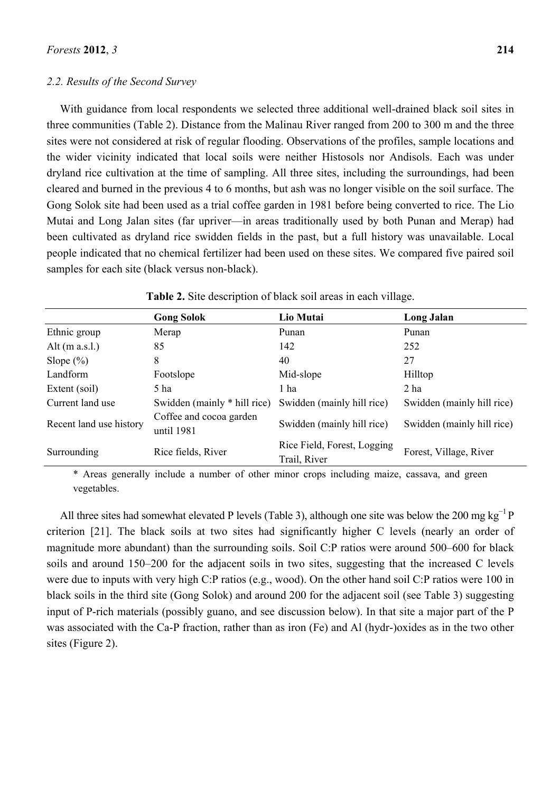#### *2.2. Results of the Second Survey*

samples for each site (black versus non-black).

With guidance from local respondents we selected three additional well-drained black soil sites in three communities (Table 2). Distance from the Malinau River ranged from 200 to 300 m and the three sites were not considered at risk of regular flooding. Observations of the profiles, sample locations and the wider vicinity indicated that local soils were neither Histosols nor Andisols. Each was under dryland rice cultivation at the time of sampling. All three sites, including the surroundings, had been cleared and burned in the previous 4 to 6 months, but ash was no longer visible on the soil surface. The Gong Solok site had been used as a trial coffee garden in 1981 before being converted to rice. The Lio Mutai and Long Jalan sites (far upriver—in areas traditionally used by both Punan and Merap) had been cultivated as dryland rice swidden fields in the past, but a full history was unavailable. Local people indicated that no chemical fertilizer had been used on these sites. We compared five paired soil

|                         | <b>Gong Solok</b>                     | Lio Mutai                                   | Long Jalan                 |
|-------------------------|---------------------------------------|---------------------------------------------|----------------------------|
| Ethnic group            | Merap                                 | Punan                                       | Punan                      |
| Alt $(m a.s.l.)$        | 85                                    | 142                                         | 252                        |
| Slope $(\%)$            | 8                                     | 40                                          | 27                         |
| Landform                | Footslope                             | Mid-slope                                   | Hilltop                    |
| Extent (soil)           | 5 ha                                  | 1 ha                                        | 2 ha                       |
| Current land use        | Swidden (mainly * hill rice)          | Swidden (mainly hill rice)                  | Swidden (mainly hill rice) |
| Recent land use history | Coffee and cocoa garden<br>until 1981 | Swidden (mainly hill rice)                  | Swidden (mainly hill rice) |
| Surrounding             | Rice fields, River                    | Rice Field, Forest, Logging<br>Trail, River | Forest, Village, River     |

**Table 2.** Site description of black soil areas in each village.

\* Areas generally include a number of other minor crops including maize, cassava, and green vegetables.

All three sites had somewhat elevated P levels (Table 3), although one site was below the 200 mg kg<sup>-1</sup> P criterion [21]. The black soils at two sites had significantly higher C levels (nearly an order of magnitude more abundant) than the surrounding soils. Soil C:P ratios were around 500–600 for black soils and around 150–200 for the adjacent soils in two sites, suggesting that the increased C levels were due to inputs with very high C:P ratios (e.g., wood). On the other hand soil C:P ratios were 100 in black soils in the third site (Gong Solok) and around 200 for the adjacent soil (see Table 3) suggesting input of P-rich materials (possibly guano, and see discussion below). In that site a major part of the P was associated with the Ca-P fraction, rather than as iron (Fe) and Al (hydr-)oxides as in the two other sites (Figure 2).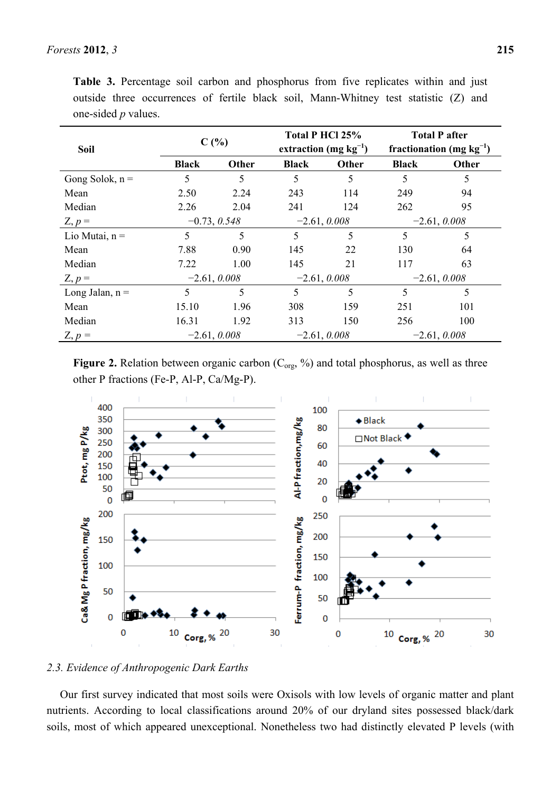| <b>Soil</b>       | C(%)           |       | Total P HCl 25%<br>extraction (mg $kg^{-1}$ ) |       | <b>Total P after</b><br>fractionation (mg $kg^{-1}$ ) |       |  |
|-------------------|----------------|-------|-----------------------------------------------|-------|-------------------------------------------------------|-------|--|
|                   | <b>Black</b>   | Other | <b>Black</b>                                  | Other | <b>Black</b>                                          | Other |  |
| Gong Solok, $n =$ | 5              | 5     | 5                                             | 5     | 5                                                     | 5     |  |
| Mean              | 2.50           | 2.24  | 243                                           | 114   | 249                                                   | 94    |  |
| Median            | 2.26           | 2.04  | 241                                           | 124   | 262                                                   | 95    |  |
| $Z, p =$          | $-0.73, 0.548$ |       | $-2.61, 0.008$                                |       | $-2.61, 0.008$                                        |       |  |
| Lio Mutai, $n =$  | 5              | 5     | 5                                             | 5     | 5                                                     | 5     |  |
| Mean              | 7.88           | 0.90  | 145                                           | 22    | 130                                                   | 64    |  |
| Median            | 7.22           | 1.00  | 145                                           | 21    | 117                                                   | 63    |  |
| $Z, p =$          | $-2.61, 0.008$ |       | $-2.61, 0.008$                                |       | $-2.61, 0.008$                                        |       |  |
| Long Jalan, $n =$ | 5              | 5     | 5                                             | 5     | 5                                                     | 5     |  |
| Mean              | 15.10          | 1.96  | 308                                           | 159   | 251                                                   | 101   |  |
| Median            | 16.31          | 1.92  | 313                                           | 150   | 256                                                   | 100   |  |
| $Z, p =$          | $-2.61, 0.008$ |       | $-2.61, 0.008$                                |       | $-2.61, 0.008$                                        |       |  |

**Table 3.** Percentage soil carbon and phosphorus from five replicates within and just outside three occurrences of fertile black soil, Mann-Whitney test statistic (Z) and one-sided *p* values.

**Figure 2.** Relation between organic carbon  $(C_{org}$ , %) and total phosphorus, as well as three other P fractions (Fe-P, Al-P, Ca/Mg-P).



#### *2.3. Evidence of Anthropogenic Dark Earths*

Our first survey indicated that most soils were Oxisols with low levels of organic matter and plant nutrients. According to local classifications around 20% of our dryland sites possessed black/dark soils, most of which appeared unexceptional. Nonetheless two had distinctly elevated P levels (with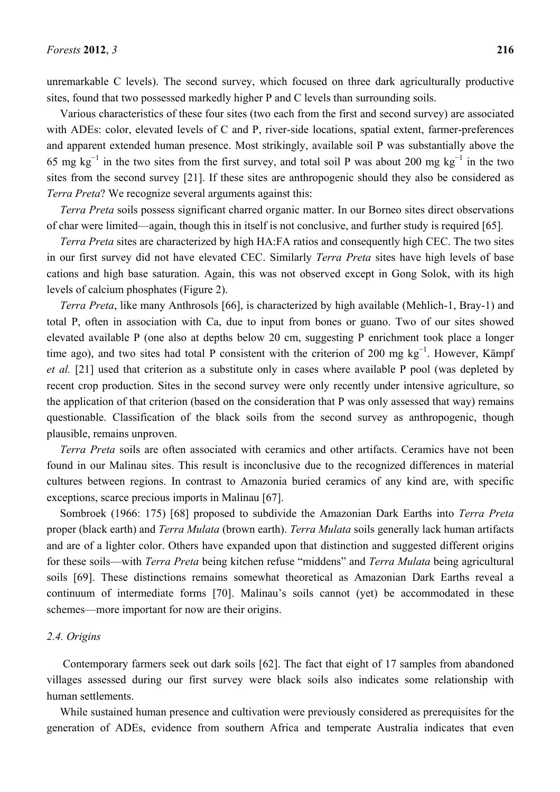unremarkable C levels). The second survey, which focused on three dark agriculturally productive sites, found that two possessed markedly higher P and C levels than surrounding soils.

Various characteristics of these four sites (two each from the first and second survey) are associated with ADEs: color, elevated levels of C and P, river-side locations, spatial extent, farmer-preferences and apparent extended human presence. Most strikingly, available soil P was substantially above the 65 mg  $kg^{-1}$  in the two sites from the first survey, and total soil P was about 200 mg  $kg^{-1}$  in the two sites from the second survey [21]. If these sites are anthropogenic should they also be considered as *Terra Preta*? We recognize several arguments against this:

*Terra Preta* soils possess significant charred organic matter. In our Borneo sites direct observations of char were limited—again, though this in itself is not conclusive, and further study is required [65].

*Terra Preta* sites are characterized by high HA:FA ratios and consequently high CEC. The two sites in our first survey did not have elevated CEC. Similarly *Terra Preta* sites have high levels of base cations and high base saturation. Again, this was not observed except in Gong Solok, with its high levels of calcium phosphates (Figure 2).

*Terra Preta*, like many Anthrosols [66], is characterized by high available (Mehlich-1, Bray-1) and total P, often in association with Ca, due to input from bones or guano. Two of our sites showed elevated available P (one also at depths below 20 cm, suggesting P enrichment took place a longer time ago), and two sites had total P consistent with the criterion of 200 mg kg<sup>-1</sup>. However, Kämpf *et al.* [21] used that criterion as a substitute only in cases where available P pool (was depleted by recent crop production. Sites in the second survey were only recently under intensive agriculture, so the application of that criterion (based on the consideration that P was only assessed that way) remains questionable. Classification of the black soils from the second survey as anthropogenic, though plausible, remains unproven.

*Terra Preta* soils are often associated with ceramics and other artifacts. Ceramics have not been found in our Malinau sites. This result is inconclusive due to the recognized differences in material cultures between regions. In contrast to Amazonia buried ceramics of any kind are, with specific exceptions, scarce precious imports in Malinau [67].

Sombroek (1966: 175) [68] proposed to subdivide the Amazonian Dark Earths into *Terra Preta* proper (black earth) and *Terra Mulata* (brown earth). *Terra Mulata* soils generally lack human artifacts and are of a lighter color. Others have expanded upon that distinction and suggested different origins for these soils—with *Terra Preta* being kitchen refuse "middens" and *Terra Mulata* being agricultural soils [69]. These distinctions remains somewhat theoretical as Amazonian Dark Earths reveal a continuum of intermediate forms [70]. Malinau's soils cannot (yet) be accommodated in these schemes—more important for now are their origins.

#### *2.4. Origins*

 Contemporary farmers seek out dark soils [62]. The fact that eight of 17 samples from abandoned villages assessed during our first survey were black soils also indicates some relationship with human settlements.

While sustained human presence and cultivation were previously considered as prerequisites for the generation of ADEs, evidence from southern Africa and temperate Australia indicates that even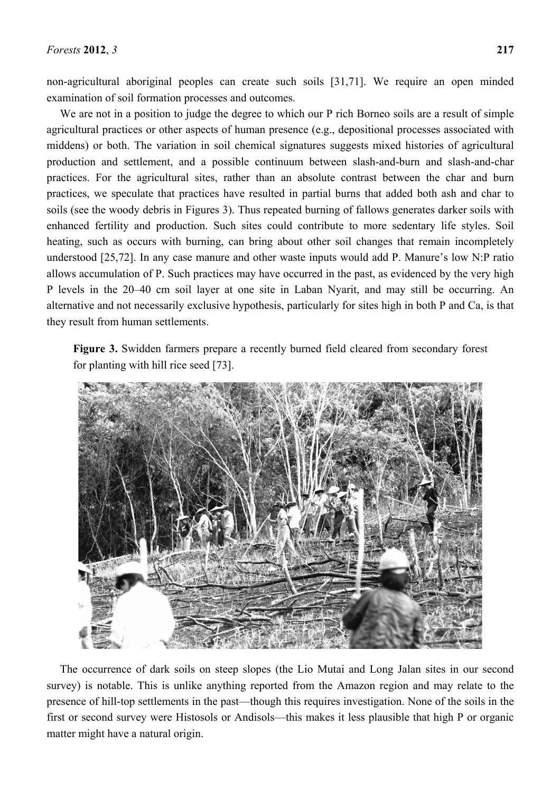non-agricultural aboriginal peoples can create such soils [31,71]. We require an open minded examination of soil formation processes and outcomes.

We are not in a position to judge the degree to which our P rich Borneo soils are a result of simple agricultural practices or other aspects of human presence (e.g., depositional processes associated with middens) or both. The variation in soil chemical signatures suggests mixed histories of agricultural production and settlement, and a possible continuum between slash-and-burn and slash-and-char practices. For the agricultural sites, rather than an absolute contrast between the char and burn practices, we speculate that practices have resulted in partial burns that added both ash and char to soils (see the woody debris in Figures 3). Thus repeated burning of fallows generates darker soils with enhanced fertility and production. Such sites could contribute to more sedentary life styles. Soil heating, such as occurs with burning, can bring about other soil changes that remain incompletely understood [25,72]. In any case manure and other waste inputs would add P. Manure's low N:P ratio allows accumulation of P. Such practices may have occurred in the past, as evidenced by the very high P levels in the 20–40 cm soil layer at one site in Laban Nyarit, and may still be occurring. An alternative and not necessarily exclusive hypothesis, particularly for sites high in both P and Ca, is that they result from human settlements.

**Figure 3.** Swidden farmers prepare a recently burned field cleared from secondary forest for planting with hill rice seed [73].



The occurrence of dark soils on steep slopes (the Lio Mutai and Long Jalan sites in our second survey) is notable. This is unlike anything reported from the Amazon region and may relate to the presence of hill-top settlements in the past—though this requires investigation. None of the soils in the first or second survey were Histosols or Andisols—this makes it less plausible that high P or organic matter might have a natural origin.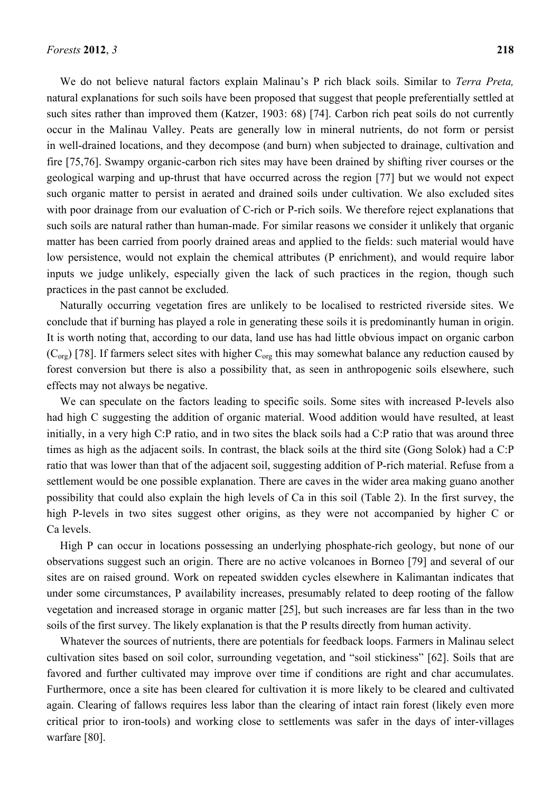We do not believe natural factors explain Malinau's P rich black soils. Similar to *Terra Preta,*  natural explanations for such soils have been proposed that suggest that people preferentially settled at such sites rather than improved them (Katzer, 1903: 68) [74]. Carbon rich peat soils do not currently occur in the Malinau Valley. Peats are generally low in mineral nutrients, do not form or persist in well-drained locations, and they decompose (and burn) when subjected to drainage, cultivation and fire [75,76]. Swampy organic-carbon rich sites may have been drained by shifting river courses or the geological warping and up-thrust that have occurred across the region [77] but we would not expect such organic matter to persist in aerated and drained soils under cultivation. We also excluded sites with poor drainage from our evaluation of C-rich or P-rich soils. We therefore reject explanations that such soils are natural rather than human-made. For similar reasons we consider it unlikely that organic matter has been carried from poorly drained areas and applied to the fields: such material would have low persistence, would not explain the chemical attributes (P enrichment), and would require labor inputs we judge unlikely, especially given the lack of such practices in the region, though such practices in the past cannot be excluded.

Naturally occurring vegetation fires are unlikely to be localised to restricted riverside sites. We conclude that if burning has played a role in generating these soils it is predominantly human in origin. It is worth noting that, according to our data, land use has had little obvious impact on organic carbon  $(C<sub>org</sub>)$  [78]. If farmers select sites with higher  $C<sub>org</sub>$  this may somewhat balance any reduction caused by forest conversion but there is also a possibility that, as seen in anthropogenic soils elsewhere, such effects may not always be negative.

We can speculate on the factors leading to specific soils. Some sites with increased P-levels also had high C suggesting the addition of organic material. Wood addition would have resulted, at least initially, in a very high C:P ratio, and in two sites the black soils had a C:P ratio that was around three times as high as the adjacent soils. In contrast, the black soils at the third site (Gong Solok) had a C:P ratio that was lower than that of the adjacent soil, suggesting addition of P-rich material. Refuse from a settlement would be one possible explanation. There are caves in the wider area making guano another possibility that could also explain the high levels of Ca in this soil (Table 2). In the first survey, the high P-levels in two sites suggest other origins, as they were not accompanied by higher C or Ca levels.

High P can occur in locations possessing an underlying phosphate-rich geology, but none of our observations suggest such an origin. There are no active volcanoes in Borneo [79] and several of our sites are on raised ground. Work on repeated swidden cycles elsewhere in Kalimantan indicates that under some circumstances, P availability increases, presumably related to deep rooting of the fallow vegetation and increased storage in organic matter [25], but such increases are far less than in the two soils of the first survey. The likely explanation is that the P results directly from human activity.

Whatever the sources of nutrients, there are potentials for feedback loops. Farmers in Malinau select cultivation sites based on soil color, surrounding vegetation, and "soil stickiness" [62]. Soils that are favored and further cultivated may improve over time if conditions are right and char accumulates. Furthermore, once a site has been cleared for cultivation it is more likely to be cleared and cultivated again. Clearing of fallows requires less labor than the clearing of intact rain forest (likely even more critical prior to iron-tools) and working close to settlements was safer in the days of inter-villages warfare [80].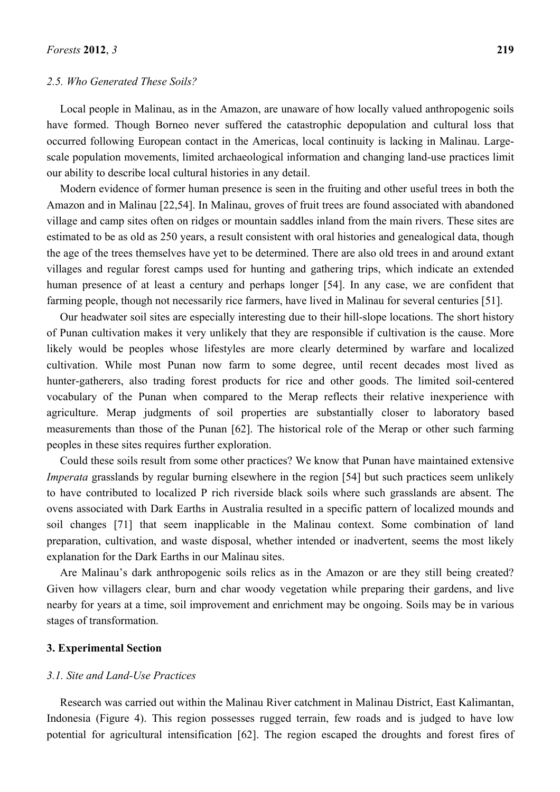#### *2.5. Who Generated These Soils?*

Local people in Malinau, as in the Amazon, are unaware of how locally valued anthropogenic soils have formed. Though Borneo never suffered the catastrophic depopulation and cultural loss that occurred following European contact in the Americas, local continuity is lacking in Malinau. Largescale population movements, limited archaeological information and changing land-use practices limit our ability to describe local cultural histories in any detail.

Modern evidence of former human presence is seen in the fruiting and other useful trees in both the Amazon and in Malinau [22,54]. In Malinau, groves of fruit trees are found associated with abandoned village and camp sites often on ridges or mountain saddles inland from the main rivers. These sites are estimated to be as old as 250 years, a result consistent with oral histories and genealogical data, though the age of the trees themselves have yet to be determined. There are also old trees in and around extant villages and regular forest camps used for hunting and gathering trips, which indicate an extended human presence of at least a century and perhaps longer [54]. In any case, we are confident that farming people, though not necessarily rice farmers, have lived in Malinau for several centuries [51].

Our headwater soil sites are especially interesting due to their hill-slope locations. The short history of Punan cultivation makes it very unlikely that they are responsible if cultivation is the cause. More likely would be peoples whose lifestyles are more clearly determined by warfare and localized cultivation. While most Punan now farm to some degree, until recent decades most lived as hunter-gatherers, also trading forest products for rice and other goods. The limited soil-centered vocabulary of the Punan when compared to the Merap reflects their relative inexperience with agriculture. Merap judgments of soil properties are substantially closer to laboratory based measurements than those of the Punan [62]. The historical role of the Merap or other such farming peoples in these sites requires further exploration.

Could these soils result from some other practices? We know that Punan have maintained extensive *Imperata* grasslands by regular burning elsewhere in the region [54] but such practices seem unlikely to have contributed to localized P rich riverside black soils where such grasslands are absent. The ovens associated with Dark Earths in Australia resulted in a specific pattern of localized mounds and soil changes [71] that seem inapplicable in the Malinau context. Some combination of land preparation, cultivation, and waste disposal, whether intended or inadvertent, seems the most likely explanation for the Dark Earths in our Malinau sites.

Are Malinau's dark anthropogenic soils relics as in the Amazon or are they still being created? Given how villagers clear, burn and char woody vegetation while preparing their gardens, and live nearby for years at a time, soil improvement and enrichment may be ongoing. Soils may be in various stages of transformation.

#### **3. Experimental Section**

### *3.1. Site and Land-Use Practices*

Research was carried out within the Malinau River catchment in Malinau District, East Kalimantan, Indonesia (Figure 4). This region possesses rugged terrain, few roads and is judged to have low potential for agricultural intensification [62]. The region escaped the droughts and forest fires of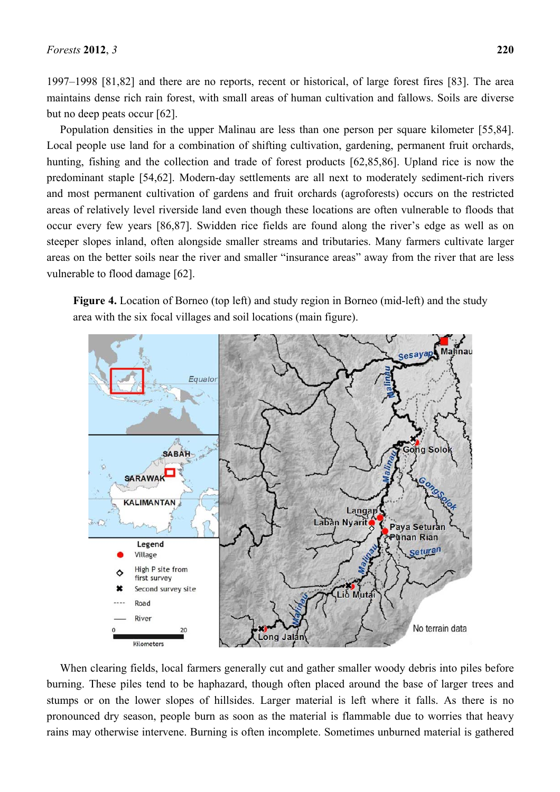1997–1998 [81,82] and there are no reports, recent or historical, of large forest fires [83]. The area maintains dense rich rain forest, with small areas of human cultivation and fallows. Soils are diverse but no deep peats occur [62].

Population densities in the upper Malinau are less than one person per square kilometer [55,84]. Local people use land for a combination of shifting cultivation, gardening, permanent fruit orchards, hunting, fishing and the collection and trade of forest products [62,85,86]. Upland rice is now the predominant staple [54,62]. Modern-day settlements are all next to moderately sediment-rich rivers and most permanent cultivation of gardens and fruit orchards (agroforests) occurs on the restricted areas of relatively level riverside land even though these locations are often vulnerable to floods that occur every few years [86,87]. Swidden rice fields are found along the river's edge as well as on steeper slopes inland, often alongside smaller streams and tributaries. Many farmers cultivate larger areas on the better soils near the river and smaller "insurance areas" away from the river that are less vulnerable to flood damage [62].

**Figure 4.** Location of Borneo (top left) and study region in Borneo (mid-left) and the study area with the six focal villages and soil locations (main figure).



When clearing fields, local farmers generally cut and gather smaller woody debris into piles before burning. These piles tend to be haphazard, though often placed around the base of larger trees and stumps or on the lower slopes of hillsides. Larger material is left where it falls. As there is no pronounced dry season, people burn as soon as the material is flammable due to worries that heavy rains may otherwise intervene. Burning is often incomplete. Sometimes unburned material is gathered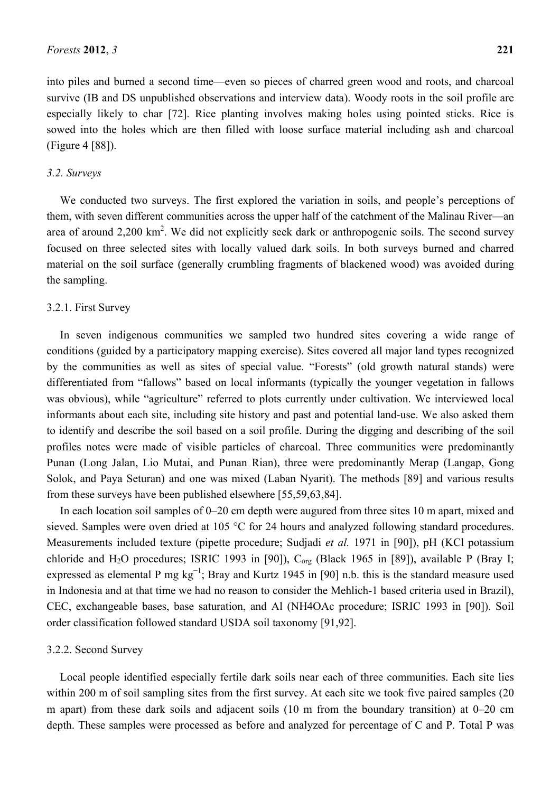into piles and burned a second time—even so pieces of charred green wood and roots, and charcoal survive (IB and DS unpublished observations and interview data). Woody roots in the soil profile are especially likely to char [72]. Rice planting involves making holes using pointed sticks. Rice is sowed into the holes which are then filled with loose surface material including ash and charcoal (Figure 4 [88]).

#### *3.2. Surveys*

We conducted two surveys. The first explored the variation in soils, and people's perceptions of them, with seven different communities across the upper half of the catchment of the Malinau River—an area of around  $2,200 \text{ km}^2$ . We did not explicitly seek dark or anthropogenic soils. The second survey focused on three selected sites with locally valued dark soils. In both surveys burned and charred material on the soil surface (generally crumbling fragments of blackened wood) was avoided during the sampling.

#### 3.2.1. First Survey

In seven indigenous communities we sampled two hundred sites covering a wide range of conditions (guided by a participatory mapping exercise). Sites covered all major land types recognized by the communities as well as sites of special value. "Forests" (old growth natural stands) were differentiated from "fallows" based on local informants (typically the younger vegetation in fallows was obvious), while "agriculture" referred to plots currently under cultivation. We interviewed local informants about each site, including site history and past and potential land-use. We also asked them to identify and describe the soil based on a soil profile. During the digging and describing of the soil profiles notes were made of visible particles of charcoal. Three communities were predominantly Punan (Long Jalan, Lio Mutai, and Punan Rian), three were predominantly Merap (Langap, Gong Solok, and Paya Seturan) and one was mixed (Laban Nyarit). The methods [89] and various results from these surveys have been published elsewhere [55,59,63,84].

In each location soil samples of 0–20 cm depth were augured from three sites 10 m apart, mixed and sieved. Samples were oven dried at 105 °C for 24 hours and analyzed following standard procedures. Measurements included texture (pipette procedure; Sudjadi *et al.* 1971 in [90]), pH (KCl potassium chloride and H<sub>2</sub>O procedures; ISRIC 1993 in [90]), C<sub>org</sub> (Black 1965 in [89]), available P (Bray I; expressed as elemental P mg  $kg^{-1}$ ; Bray and Kurtz 1945 in [90] n.b. this is the standard measure used in Indonesia and at that time we had no reason to consider the Mehlich-1 based criteria used in Brazil), CEC, exchangeable bases, base saturation, and Al (NH4OAc procedure; ISRIC 1993 in [90]). Soil order classification followed standard USDA soil taxonomy [91,92].

#### 3.2.2. Second Survey

Local people identified especially fertile dark soils near each of three communities. Each site lies within 200 m of soil sampling sites from the first survey. At each site we took five paired samples (20) m apart) from these dark soils and adjacent soils (10 m from the boundary transition) at 0–20 cm depth. These samples were processed as before and analyzed for percentage of C and P. Total P was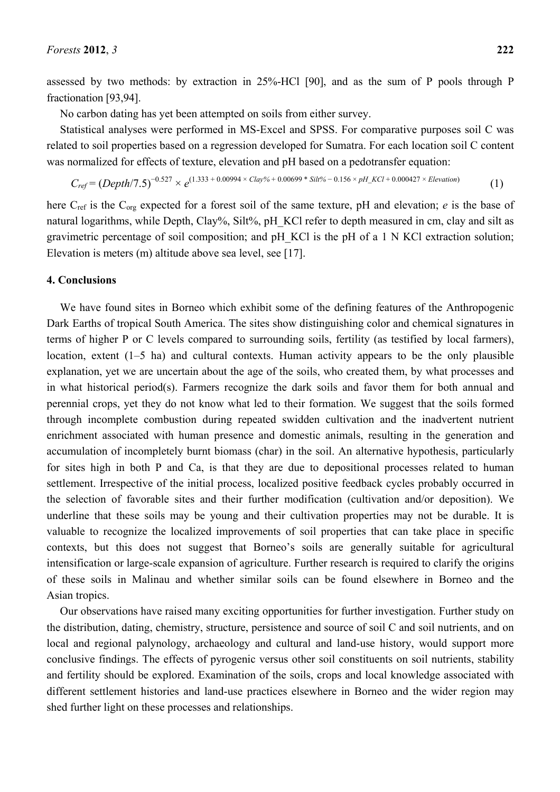assessed by two methods: by extraction in 25%-HCl [90], and as the sum of P pools through P fractionation [93,94].

No carbon dating has yet been attempted on soils from either survey.

Statistical analyses were performed in MS-Excel and SPSS. For comparative purposes soil C was related to soil properties based on a regression developed for Sumatra. For each location soil C content was normalized for effects of texture, elevation and pH based on a pedotransfer equation:

*Cref* = (*Depth*/7.5)<sup>−</sup>0.527 × *e* (1.333 + 0.00994 × *Clay%* + 0.00699 \* *Silt%* − 0.156 × *pH\_KCl* + 0.000427 × *Elevation*) (1)

here C<sub>ref</sub> is the C<sub>org</sub> expected for a forest soil of the same texture, pH and elevation; *e* is the base of natural logarithms, while Depth, Clay%, Silt%, pH\_KCl refer to depth measured in cm, clay and silt as gravimetric percentage of soil composition; and pH\_KCl is the pH of a 1 N KCl extraction solution; Elevation is meters (m) altitude above sea level, see [17].

#### **4. Conclusions**

We have found sites in Borneo which exhibit some of the defining features of the Anthropogenic Dark Earths of tropical South America. The sites show distinguishing color and chemical signatures in terms of higher P or C levels compared to surrounding soils, fertility (as testified by local farmers), location, extent (1–5 ha) and cultural contexts. Human activity appears to be the only plausible explanation, yet we are uncertain about the age of the soils, who created them, by what processes and in what historical period(s). Farmers recognize the dark soils and favor them for both annual and perennial crops, yet they do not know what led to their formation. We suggest that the soils formed through incomplete combustion during repeated swidden cultivation and the inadvertent nutrient enrichment associated with human presence and domestic animals, resulting in the generation and accumulation of incompletely burnt biomass (char) in the soil. An alternative hypothesis, particularly for sites high in both P and Ca, is that they are due to depositional processes related to human settlement. Irrespective of the initial process, localized positive feedback cycles probably occurred in the selection of favorable sites and their further modification (cultivation and/or deposition). We underline that these soils may be young and their cultivation properties may not be durable. It is valuable to recognize the localized improvements of soil properties that can take place in specific contexts, but this does not suggest that Borneo's soils are generally suitable for agricultural intensification or large-scale expansion of agriculture. Further research is required to clarify the origins of these soils in Malinau and whether similar soils can be found elsewhere in Borneo and the Asian tropics.

Our observations have raised many exciting opportunities for further investigation. Further study on the distribution, dating, chemistry, structure, persistence and source of soil C and soil nutrients, and on local and regional palynology, archaeology and cultural and land-use history, would support more conclusive findings. The effects of pyrogenic versus other soil constituents on soil nutrients, stability and fertility should be explored. Examination of the soils, crops and local knowledge associated with different settlement histories and land-use practices elsewhere in Borneo and the wider region may shed further light on these processes and relationships.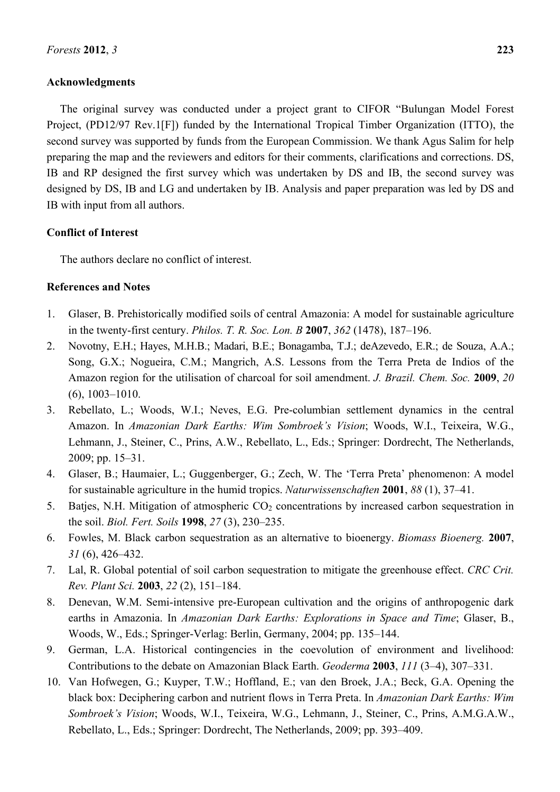## **Acknowledgments**

The original survey was conducted under a project grant to CIFOR "Bulungan Model Forest Project, (PD12/97 Rev.1[F]) funded by the International Tropical Timber Organization (ITTO), the second survey was supported by funds from the European Commission. We thank Agus Salim for help preparing the map and the reviewers and editors for their comments, clarifications and corrections. DS, IB and RP designed the first survey which was undertaken by DS and IB, the second survey was designed by DS, IB and LG and undertaken by IB. Analysis and paper preparation was led by DS and IB with input from all authors.

# **Conflict of Interest**

The authors declare no conflict of interest.

# **References and Notes**

- 1. Glaser, B. Prehistorically modified soils of central Amazonia: A model for sustainable agriculture in the twenty-first century. *Philos. T. R. Soc. Lon. B* **2007**, *362* (1478), 187–196.
- 2. Novotny, E.H.; Hayes, M.H.B.; Madari, B.E.; Bonagamba, T.J.; deAzevedo, E.R.; de Souza, A.A.; Song, G.X.; Nogueira, C.M.; Mangrich, A.S. Lessons from the Terra Preta de Indios of the Amazon region for the utilisation of charcoal for soil amendment. *J. Brazil. Chem. Soc.* **2009**, *20* (6), 1003–1010.
- 3. Rebellato, L.; Woods, W.I.; Neves, E.G. Pre-columbian settlement dynamics in the central Amazon. In *Amazonian Dark Earths: Wim Sombroek's Vision*; Woods, W.I., Teixeira, W.G., Lehmann, J., Steiner, C., Prins, A.W., Rebellato, L., Eds.; Springer: Dordrecht, The Netherlands, 2009; pp. 15–31.
- 4. Glaser, B.; Haumaier, L.; Guggenberger, G.; Zech, W. The 'Terra Preta' phenomenon: A model for sustainable agriculture in the humid tropics. *Naturwissenschaften* **2001**, *88* (1), 37–41.
- 5. Batjes, N.H. Mitigation of atmospheric  $CO<sub>2</sub>$  concentrations by increased carbon sequestration in the soil. *Biol. Fert. Soils* **1998**, *27* (3), 230–235.
- 6. Fowles, M. Black carbon sequestration as an alternative to bioenergy. *Biomass Bioenerg.* **2007**, *31* (6), 426–432.
- 7. Lal, R. Global potential of soil carbon sequestration to mitigate the greenhouse effect. *CRC Crit. Rev. Plant Sci.* **2003**, *22* (2), 151–184.
- 8. Denevan, W.M. Semi-intensive pre-European cultivation and the origins of anthropogenic dark earths in Amazonia. In *Amazonian Dark Earths: Explorations in Space and Time*; Glaser, B., Woods, W., Eds.; Springer-Verlag: Berlin, Germany, 2004; pp. 135–144.
- 9. German, L.A. Historical contingencies in the coevolution of environment and livelihood: Contributions to the debate on Amazonian Black Earth. *Geoderma* **2003**, *111* (3–4), 307–331.
- 10. Van Hofwegen, G.; Kuyper, T.W.; Hoffland, E.; van den Broek, J.A.; Beck, G.A. Opening the black box: Deciphering carbon and nutrient flows in Terra Preta. In *Amazonian Dark Earths: Wim Sombroek's Vision*; Woods, W.I., Teixeira, W.G., Lehmann, J., Steiner, C., Prins, A.M.G.A.W., Rebellato, L., Eds.; Springer: Dordrecht, The Netherlands, 2009; pp. 393–409.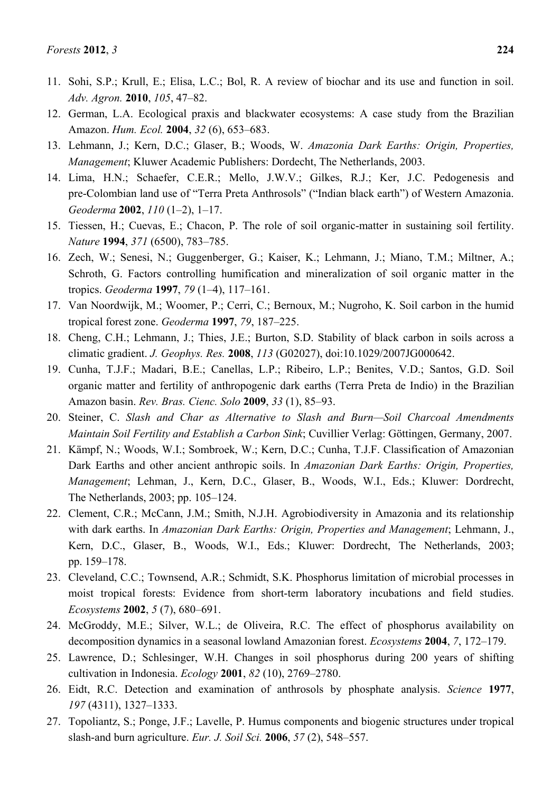- 11. Sohi, S.P.; Krull, E.; Elisa, L.C.; Bol, R. A review of biochar and its use and function in soil. *Adv. Agron.* **2010**, *105*, 47–82.
- 12. German, L.A. Ecological praxis and blackwater ecosystems: A case study from the Brazilian Amazon. *Hum. Ecol.* **2004**, *32* (6), 653–683.
- 13. Lehmann, J.; Kern, D.C.; Glaser, B.; Woods, W. *Amazonia Dark Earths: Origin, Properties, Management*; Kluwer Academic Publishers: Dordecht, The Netherlands, 2003.
- 14. Lima, H.N.; Schaefer, C.E.R.; Mello, J.W.V.; Gilkes, R.J.; Ker, J.C. Pedogenesis and pre-Colombian land use of "Terra Preta Anthrosols" ("Indian black earth") of Western Amazonia. *Geoderma* **2002**, *110* (1–2), 1–17.
- 15. Tiessen, H.; Cuevas, E.; Chacon, P. The role of soil organic-matter in sustaining soil fertility. *Nature* **1994**, *371* (6500), 783–785.
- 16. Zech, W.; Senesi, N.; Guggenberger, G.; Kaiser, K.; Lehmann, J.; Miano, T.M.; Miltner, A.; Schroth, G. Factors controlling humification and mineralization of soil organic matter in the tropics. *Geoderma* **1997**, *79* (1–4), 117–161.
- 17. Van Noordwijk, M.; Woomer, P.; Cerri, C.; Bernoux, M.; Nugroho, K. Soil carbon in the humid tropical forest zone. *Geoderma* **1997**, *79*, 187–225.
- 18. Cheng, C.H.; Lehmann, J.; Thies, J.E.; Burton, S.D. Stability of black carbon in soils across a climatic gradient. *J. Geophys. Res.* **2008**, *113* (G02027), doi:10.1029/2007JG000642.
- 19. Cunha, T.J.F.; Madari, B.E.; Canellas, L.P.; Ribeiro, L.P.; Benites, V.D.; Santos, G.D. Soil organic matter and fertility of anthropogenic dark earths (Terra Preta de Indio) in the Brazilian Amazon basin. *Rev. Bras. Cienc. Solo* **2009**, *33* (1), 85–93.
- 20. Steiner, C. *Slash and Char as Alternative to Slash and Burn—Soil Charcoal Amendments Maintain Soil Fertility and Establish a Carbon Sink*; Cuvillier Verlag: Göttingen, Germany, 2007.
- 21. Kämpf, N.; Woods, W.I.; Sombroek, W.; Kern, D.C.; Cunha, T.J.F. Classification of Amazonian Dark Earths and other ancient anthropic soils. In *Amazonian Dark Earths: Origin, Properties, Management*; Lehman, J., Kern, D.C., Glaser, B., Woods, W.I., Eds.; Kluwer: Dordrecht, The Netherlands, 2003; pp. 105–124.
- 22. Clement, C.R.; McCann, J.M.; Smith, N.J.H. Agrobiodiversity in Amazonia and its relationship with dark earths. In *Amazonian Dark Earths: Origin, Properties and Management*; Lehmann, J., Kern, D.C., Glaser, B., Woods, W.I., Eds.; Kluwer: Dordrecht, The Netherlands, 2003; pp. 159–178.
- 23. Cleveland, C.C.; Townsend, A.R.; Schmidt, S.K. Phosphorus limitation of microbial processes in moist tropical forests: Evidence from short-term laboratory incubations and field studies. *Ecosystems* **2002**, *5* (7), 680–691.
- 24. McGroddy, M.E.; Silver, W.L.; de Oliveira, R.C. The effect of phosphorus availability on decomposition dynamics in a seasonal lowland Amazonian forest. *Ecosystems* **2004**, *7*, 172–179.
- 25. Lawrence, D.; Schlesinger, W.H. Changes in soil phosphorus during 200 years of shifting cultivation in Indonesia. *Ecology* **2001**, *82* (10), 2769–2780.
- 26. Eidt, R.C. Detection and examination of anthrosols by phosphate analysis. *Science* **1977**, *197* (4311), 1327–1333.
- 27. Topoliantz, S.; Ponge, J.F.; Lavelle, P. Humus components and biogenic structures under tropical slash-and burn agriculture. *Eur. J. Soil Sci.* **2006**, *57* (2), 548–557.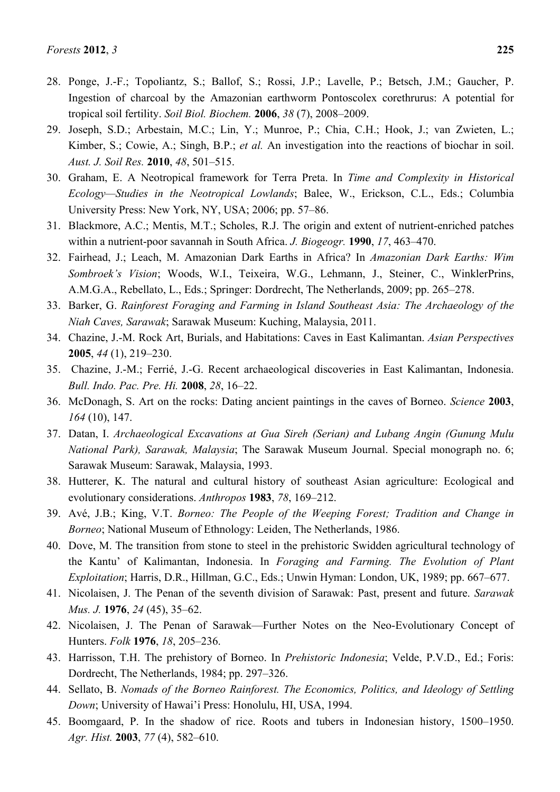- 28. Ponge, J.-F.; Topoliantz, S.; Ballof, S.; Rossi, J.P.; Lavelle, P.; Betsch, J.M.; Gaucher, P. Ingestion of charcoal by the Amazonian earthworm Pontoscolex corethrurus: A potential for tropical soil fertility. *Soil Biol. Biochem.* **2006**, *38* (7), 2008–2009.
- 29. Joseph, S.D.; Arbestain, M.C.; Lin, Y.; Munroe, P.; Chia, C.H.; Hook, J.; van Zwieten, L.; Kimber, S.; Cowie, A.; Singh, B.P.; *et al.* An investigation into the reactions of biochar in soil. *Aust. J. Soil Res.* **2010**, *48*, 501–515.
- 30. Graham, E. A Neotropical framework for Terra Preta. In *Time and Complexity in Historical Ecology—Studies in the Neotropical Lowlands*; Balee, W., Erickson, C.L., Eds.; Columbia University Press: New York, NY, USA; 2006; pp. 57–86.
- 31. Blackmore, A.C.; Mentis, M.T.; Scholes, R.J. The origin and extent of nutrient-enriched patches within a nutrient-poor savannah in South Africa. *J. Biogeogr.* **1990**, *17*, 463–470.
- 32. Fairhead, J.; Leach, M. Amazonian Dark Earths in Africa? In *Amazonian Dark Earths: Wim Sombroek's Vision*; Woods, W.I., Teixeira, W.G., Lehmann, J., Steiner, C., WinklerPrins, A.M.G.A., Rebellato, L., Eds.; Springer: Dordrecht, The Netherlands, 2009; pp. 265–278.
- 33. Barker, G. *Rainforest Foraging and Farming in Island Southeast Asia: The Archaeology of the Niah Caves, Sarawak*; Sarawak Museum: Kuching, Malaysia, 2011.
- 34. Chazine, J.-M. Rock Art, Burials, and Habitations: Caves in East Kalimantan. *Asian Perspectives* **2005**, *44* (1), 219–230.
- 35. Chazine, J.-M.; Ferrié, J.-G. Recent archaeological discoveries in East Kalimantan, Indonesia. *Bull. Indo. Pac. Pre. Hi.* **2008**, *28*, 16–22.
- 36. McDonagh, S. Art on the rocks: Dating ancient paintings in the caves of Borneo. *Science* **2003**, *164* (10), 147.
- 37. Datan, I. *Archaeological Excavations at Gua Sireh (Serian) and Lubang Angin (Gunung Mulu National Park), Sarawak, Malaysia*; The Sarawak Museum Journal. Special monograph no. 6; Sarawak Museum: Sarawak, Malaysia, 1993.
- 38. Hutterer, K. The natural and cultural history of southeast Asian agriculture: Ecological and evolutionary considerations. *Anthropos* **1983**, *78*, 169–212.
- 39. Avé, J.B.; King, V.T. *Borneo: The People of the Weeping Forest; Tradition and Change in Borneo*; National Museum of Ethnology: Leiden, The Netherlands, 1986.
- 40. Dove, M. The transition from stone to steel in the prehistoric Swidden agricultural technology of the Kantu' of Kalimantan, Indonesia. In *Foraging and Farming. The Evolution of Plant Exploitation*; Harris, D.R., Hillman, G.C., Eds.; Unwin Hyman: London, UK, 1989; pp. 667–677.
- 41. Nicolaisen, J. The Penan of the seventh division of Sarawak: Past, present and future. *Sarawak Mus. J.* **1976**, *24* (45), 35–62.
- 42. Nicolaisen, J. The Penan of Sarawak—Further Notes on the Neo-Evolutionary Concept of Hunters. *Folk* **1976**, *18*, 205–236.
- 43. Harrisson, T.H. The prehistory of Borneo. In *Prehistoric Indonesia*; Velde, P.V.D., Ed.; Foris: Dordrecht, The Netherlands, 1984; pp. 297–326.
- 44. Sellato, B. *Nomads of the Borneo Rainforest. The Economics, Politics, and Ideology of Settling Down*; University of Hawai'i Press: Honolulu, HI, USA, 1994.
- 45. Boomgaard, P. In the shadow of rice. Roots and tubers in Indonesian history, 1500–1950. *Agr. Hist.* **2003**, *77* (4), 582–610.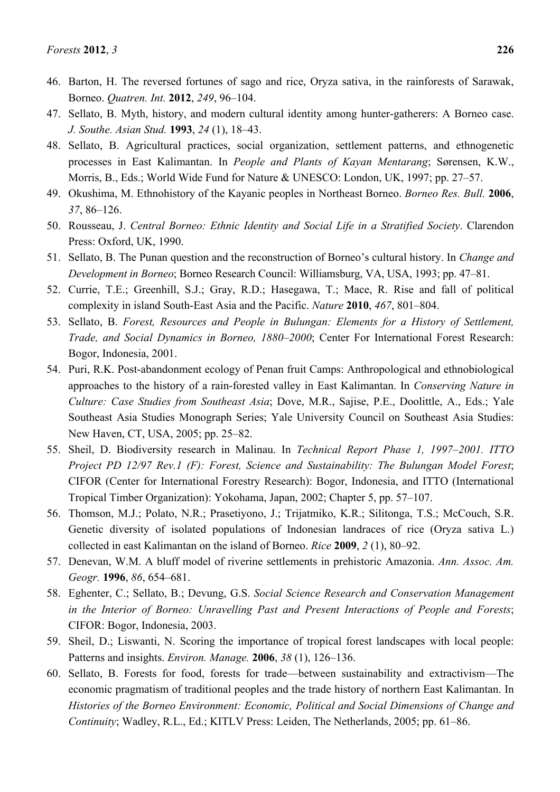- 46. Barton, H. The reversed fortunes of sago and rice, Oryza sativa, in the rainforests of Sarawak, Borneo. *Quatren. Int.* **2012**, *249*, 96–104.
- 47. Sellato, B. Myth, history, and modern cultural identity among hunter-gatherers: A Borneo case. *J. Southe. Asian Stud.* **1993**, *24* (1), 18–43.
- 48. Sellato, B. Agricultural practices, social organization, settlement patterns, and ethnogenetic processes in East Kalimantan. In *People and Plants of Kayan Mentarang*; Sørensen, K.W., Morris, B., Eds.; World Wide Fund for Nature & UNESCO: London, UK, 1997; pp. 27–57.
- 49. Okushima, M. Ethnohistory of the Kayanic peoples in Northeast Borneo. *Borneo Res. Bull.* **2006**, *37*, 86–126.
- 50. Rousseau, J. *Central Borneo: Ethnic Identity and Social Life in a Stratified Society*. Clarendon Press: Oxford, UK, 1990.
- 51. Sellato, B. The Punan question and the reconstruction of Borneo's cultural history. In *Change and Development in Borneo*; Borneo Research Council: Williamsburg, VA, USA, 1993; pp. 47–81.
- 52. Currie, T.E.; Greenhill, S.J.; Gray, R.D.; Hasegawa, T.; Mace, R. Rise and fall of political complexity in island South-East Asia and the Pacific. *Nature* **2010**, *467*, 801–804.
- 53. Sellato, B. *Forest, Resources and People in Bulungan: Elements for a History of Settlement, Trade, and Social Dynamics in Borneo, 1880–2000*; Center For International Forest Research: Bogor, Indonesia, 2001.
- 54. Puri, R.K. Post-abandonment ecology of Penan fruit Camps: Anthropological and ethnobiological approaches to the history of a rain-forested valley in East Kalimantan. In *Conserving Nature in Culture: Case Studies from Southeast Asia*; Dove, M.R., Sajise, P.E., Doolittle, A., Eds.; Yale Southeast Asia Studies Monograph Series; Yale University Council on Southeast Asia Studies: New Haven, CT, USA, 2005; pp. 25–82.
- 55. Sheil, D. Biodiversity research in Malinau. In *Technical Report Phase 1, 1997–2001. ITTO Project PD 12/97 Rev.1 (F): Forest, Science and Sustainability: The Bulungan Model Forest*; CIFOR (Center for International Forestry Research): Bogor, Indonesia, and ITTO (International Tropical Timber Organization): Yokohama, Japan, 2002; Chapter 5, pp. 57–107.
- 56. Thomson, M.J.; Polato, N.R.; Prasetiyono, J.; Trijatmiko, K.R.; Silitonga, T.S.; McCouch, S.R. Genetic diversity of isolated populations of Indonesian landraces of rice (Oryza sativa L.) collected in east Kalimantan on the island of Borneo. *Rice* **2009**, *2* (1), 80–92.
- 57. Denevan, W.M. A bluff model of riverine settlements in prehistoric Amazonia. *Ann. Assoc. Am. Geogr.* **1996**, *86*, 654–681.
- 58. Eghenter, C.; Sellato, B.; Devung, G.S. *Social Science Research and Conservation Management in the Interior of Borneo: Unravelling Past and Present Interactions of People and Forests*; CIFOR: Bogor, Indonesia, 2003.
- 59. Sheil, D.; Liswanti, N. Scoring the importance of tropical forest landscapes with local people: Patterns and insights. *Environ. Manage.* **2006**, *38* (1), 126–136.
- 60. Sellato, B. Forests for food, forests for trade—between sustainability and extractivism—The economic pragmatism of traditional peoples and the trade history of northern East Kalimantan. In *Histories of the Borneo Environment: Economic, Political and Social Dimensions of Change and Continuity*; Wadley, R.L., Ed.; KITLV Press: Leiden, The Netherlands, 2005; pp. 61–86.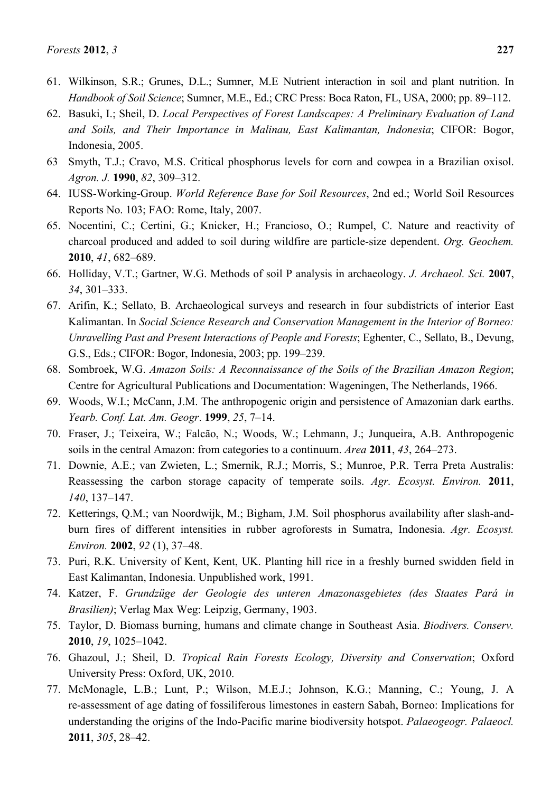- 61. Wilkinson, S.R.; Grunes, D.L.; Sumner, M.E Nutrient interaction in soil and plant nutrition. In *Handbook of Soil Science*; Sumner, M.E., Ed.; CRC Press: Boca Raton, FL, USA, 2000; pp. 89–112.
- 62. Basuki, I.; Sheil, D. *Local Perspectives of Forest Landscapes: A Preliminary Evaluation of Land and Soils, and Their Importance in Malinau, East Kalimantan, Indonesia*; CIFOR: Bogor, Indonesia, 2005.
- 63 Smyth, T.J.; Cravo, M.S. Critical phosphorus levels for corn and cowpea in a Brazilian oxisol. *Agron. J.* **1990**, *82*, 309–312.
- 64. IUSS-Working-Group. *World Reference Base for Soil Resources*, 2nd ed.; World Soil Resources Reports No. 103; FAO: Rome, Italy, 2007.
- 65. Nocentini, C.; Certini, G.; Knicker, H.; Francioso, O.; Rumpel, C. Nature and reactivity of charcoal produced and added to soil during wildfire are particle-size dependent. *Org. Geochem.*  **2010**, *41*, 682–689.
- 66. Holliday, V.T.; Gartner, W.G. Methods of soil P analysis in archaeology. *J. Archaeol. Sci.* **2007**, *34*, 301–333.
- 67. Arifin, K.; Sellato, B. Archaeological surveys and research in four subdistricts of interior East Kalimantan. In *Social Science Research and Conservation Management in the Interior of Borneo: Unravelling Past and Present Interactions of People and Forests*; Eghenter, C., Sellato, B., Devung, G.S., Eds.; CIFOR: Bogor, Indonesia, 2003; pp. 199–239.
- 68. Sombroek, W.G. *Amazon Soils: A Reconnaissance of the Soils of the Brazilian Amazon Region*; Centre for Agricultural Publications and Documentation: Wageningen, The Netherlands, 1966.
- 69. Woods, W.I.; McCann, J.M. The anthropogenic origin and persistence of Amazonian dark earths. *Yearb. Conf. Lat. Am. Geogr*. **1999**, *25*, 7–14.
- 70. Fraser, J.; Teixeira, W.; Falcão, N.; Woods, W.; Lehmann, J.; Junqueira, A.B. Anthropogenic soils in the central Amazon: from categories to a continuum. *Area* **2011**, *43*, 264–273.
- 71. Downie, A.E.; van Zwieten, L.; Smernik, R.J.; Morris, S.; Munroe, P.R. Terra Preta Australis: Reassessing the carbon storage capacity of temperate soils. *Agr. Ecosyst. Environ.* **2011**, *140*, 137–147.
- 72. Ketterings, Q.M.; van Noordwijk, M.; Bigham, J.M. Soil phosphorus availability after slash-andburn fires of different intensities in rubber agroforests in Sumatra, Indonesia. *Agr. Ecosyst. Environ.* **2002**, *92* (1), 37–48.
- 73. Puri, R.K. University of Kent, Kent, UK. Planting hill rice in a freshly burned swidden field in East Kalimantan, Indonesia. Unpublished work, 1991.
- 74. Katzer, F. *Grundzüge der Geologie des unteren Amazonasgebietes (des Staates Pará in Brasilien)*; Verlag Max Weg: Leipzig, Germany, 1903.
- 75. Taylor, D. Biomass burning, humans and climate change in Southeast Asia. *Biodivers. Conserv.*  **2010**, *19*, 1025–1042.
- 76. Ghazoul, J.; Sheil, D. *Tropical Rain Forests Ecology, Diversity and Conservation*; Oxford University Press: Oxford, UK, 2010.
- 77. McMonagle, L.B.; Lunt, P.; Wilson, M.E.J.; Johnson, K.G.; Manning, C.; Young, J. A re-assessment of age dating of fossiliferous limestones in eastern Sabah, Borneo: Implications for understanding the origins of the Indo-Pacific marine biodiversity hotspot. *Palaeogeogr. Palaeocl.*  **2011**, *305*, 28–42.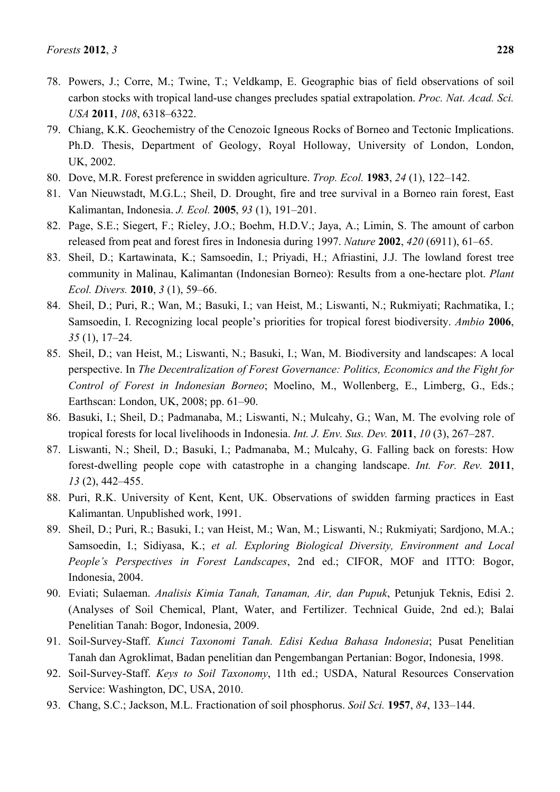- 78. Powers, J.; Corre, M.; Twine, T.; Veldkamp, E. Geographic bias of field observations of soil carbon stocks with tropical land-use changes precludes spatial extrapolation. *Proc. Nat. Acad. Sci. USA* **2011**, *108*, 6318–6322.
- 79. Chiang, K.K. Geochemistry of the Cenozoic Igneous Rocks of Borneo and Tectonic Implications. Ph.D. Thesis, Department of Geology, Royal Holloway, University of London, London, UK, 2002.
- 80. Dove, M.R. Forest preference in swidden agriculture. *Trop. Ecol.* **1983**, *24* (1), 122–142.
- 81. Van Nieuwstadt, M.G.L.; Sheil, D. Drought, fire and tree survival in a Borneo rain forest, East Kalimantan, Indonesia. *J. Ecol.* **2005**, *93* (1), 191–201.
- 82. Page, S.E.; Siegert, F.; Rieley, J.O.; Boehm, H.D.V.; Jaya, A.; Limin, S. The amount of carbon released from peat and forest fires in Indonesia during 1997. *Nature* **2002**, *420* (6911), 61–65.
- 83. Sheil, D.; Kartawinata, K.; Samsoedin, I.; Priyadi, H.; Afriastini, J.J. The lowland forest tree community in Malinau, Kalimantan (Indonesian Borneo): Results from a one-hectare plot. *Plant Ecol. Divers.* **2010**, *3* (1), 59–66.
- 84. Sheil, D.; Puri, R.; Wan, M.; Basuki, I.; van Heist, M.; Liswanti, N.; Rukmiyati; Rachmatika, I.; Samsoedin, I. Recognizing local people's priorities for tropical forest biodiversity. *Ambio* **2006**, *35* (1), 17–24.
- 85. Sheil, D.; van Heist, M.; Liswanti, N.; Basuki, I.; Wan, M. Biodiversity and landscapes: A local perspective. In *The Decentralization of Forest Governance: Politics, Economics and the Fight for Control of Forest in Indonesian Borneo*; Moelino, M., Wollenberg, E., Limberg, G., Eds.; Earthscan: London, UK, 2008; pp. 61–90.
- 86. Basuki, I.; Sheil, D.; Padmanaba, M.; Liswanti, N.; Mulcahy, G.; Wan, M. The evolving role of tropical forests for local livelihoods in Indonesia. *Int. J. Env. Sus. Dev.* **2011**, *10* (3), 267–287.
- 87. Liswanti, N.; Sheil, D.; Basuki, I.; Padmanaba, M.; Mulcahy, G. Falling back on forests: How forest-dwelling people cope with catastrophe in a changing landscape. *Int. For. Rev.* **2011**, *13* (2), 442–455.
- 88. Puri, R.K. University of Kent, Kent, UK. Observations of swidden farming practices in East Kalimantan. Unpublished work, 1991.
- 89. Sheil, D.; Puri, R.; Basuki, I.; van Heist, M.; Wan, M.; Liswanti, N.; Rukmiyati; Sardjono, M.A.; Samsoedin, I.; Sidiyasa, K.; *et al. Exploring Biological Diversity, Environment and Local People's Perspectives in Forest Landscapes*, 2nd ed.; CIFOR, MOF and ITTO: Bogor, Indonesia, 2004.
- 90. Eviati; Sulaeman. *Analisis Kimia Tanah, Tanaman, Air, dan Pupuk*, Petunjuk Teknis, Edisi 2. (Analyses of Soil Chemical, Plant, Water, and Fertilizer. Technical Guide, 2nd ed.); Balai Penelitian Tanah: Bogor, Indonesia, 2009.
- 91. Soil-Survey-Staff. *Kunci Taxonomi Tanah. Edisi Kedua Bahasa Indonesia*; Pusat Penelitian Tanah dan Agroklimat, Badan penelitian dan Pengembangan Pertanian: Bogor, Indonesia, 1998.
- 92. Soil-Survey-Staff. *Keys to Soil Taxonomy*, 11th ed.; USDA, Natural Resources Conservation Service: Washington, DC, USA, 2010.
- 93. Chang, S.C.; Jackson, M.L. Fractionation of soil phosphorus. *Soil Sci.* **1957**, *84*, 133–144.